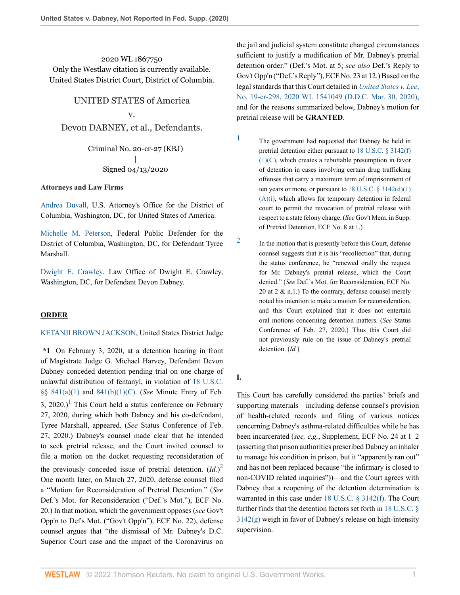2020 WL 1867750 Only the Westlaw citation is currently available. United States District Court, District of Columbia.

# UNITED STATES of America

## v.

Devon DABNEY, et al., Defendants.

Criminal No. 20-cr-27 (KBJ) | Signed 04/13/2020

#### **Attorneys and Law Firms**

[Andrea Duvall](http://www.westlaw.com/Link/Document/FullText?findType=h&pubNum=176284&cite=0324612401&originatingDoc=Ic3fa68607f3a11eab9598d2db129301e&refType=RQ&originationContext=document&vr=3.0&rs=cblt1.0&transitionType=DocumentItem&contextData=(sc.Search)), U.S. Attorney's Office for the District of Columbia, Washington, DC, for United States of America.

[Michelle M. Peterson](http://www.westlaw.com/Link/Document/FullText?findType=h&pubNum=176284&cite=0352231701&originatingDoc=Ic3fa68607f3a11eab9598d2db129301e&refType=RQ&originationContext=document&vr=3.0&rs=cblt1.0&transitionType=DocumentItem&contextData=(sc.Search)), Federal Public Defender for the District of Columbia, Washington, DC, for Defendant Tyree Marshall.

[Dwight E. Crawley](http://www.westlaw.com/Link/Document/FullText?findType=h&pubNum=176284&cite=0330710401&originatingDoc=Ic3fa68607f3a11eab9598d2db129301e&refType=RQ&originationContext=document&vr=3.0&rs=cblt1.0&transitionType=DocumentItem&contextData=(sc.Search)), Law Office of Dwight E. Crawley, Washington, DC, for Defendant Devon Dabney.

#### **ORDER**

#### [KETANJI BROWN JACKSON](http://www.westlaw.com/Link/Document/FullText?findType=h&pubNum=176284&cite=0384965701&originatingDoc=Ic3fa68607f3a11eab9598d2db129301e&refType=RQ&originationContext=document&vr=3.0&rs=cblt1.0&transitionType=DocumentItem&contextData=(sc.Search)), United States District Judge

<span id="page-0-2"></span>**\*1** On February 3, 2020, at a detention hearing in front of Magistrate Judge G. Michael Harvey, Defendant Devon Dabney conceded detention pending trial on one charge of unlawful distribution of fentanyl, in violation of [18 U.S.C.](http://www.westlaw.com/Link/Document/FullText?findType=L&pubNum=1000546&cite=18USCAS841&originatingDoc=Ic3fa68607f3a11eab9598d2db129301e&refType=RB&originationContext=document&vr=3.0&rs=cblt1.0&transitionType=DocumentItem&contextData=(sc.Search)#co_pp_8b3b0000958a4) [§§ 841\(a\)\(1\)](http://www.westlaw.com/Link/Document/FullText?findType=L&pubNum=1000546&cite=18USCAS841&originatingDoc=Ic3fa68607f3a11eab9598d2db129301e&refType=RB&originationContext=document&vr=3.0&rs=cblt1.0&transitionType=DocumentItem&contextData=(sc.Search)#co_pp_8b3b0000958a4) and [841\(b\)\(1\)\(C\)](http://www.westlaw.com/Link/Document/FullText?findType=L&pubNum=1000546&cite=18USCAS841&originatingDoc=Ic3fa68607f3a11eab9598d2db129301e&refType=RB&originationContext=document&vr=3.0&rs=cblt1.0&transitionType=DocumentItem&contextData=(sc.Search)#co_pp_a83b000018c76). (*See* Minute Entry of Feb. 3, 2020.)<sup>[1](#page-0-0)</sup> This Court held a status conference on February 27, 2020, during which both Dabney and his co-defendant, Tyree Marshall, appeared. (*See* Status Conference of Feb. 27, 2020.) Dabney's counsel made clear that he intended to seek pretrial release, and the Court invited counsel to file a motion on the docket requesting reconsideration of the previously conceded issue of pretrial detention.  $(Id.)^2$  $(Id.)^2$ One month later, on March 27, 2020, defense counsel filed a "Motion for Reconsideration of Pretrial Detention." (*See* Def.'s Mot. for Reconsideration ("Def.'s Mot."), ECF No. 20.) In that motion, which the government opposes (*see* Gov't Opp'n to Def's Mot. ("Gov't Opp'n"), ECF No. 22), defense counsel argues that "the dismissal of Mr. Dabney's D.C. Superior Court case and the impact of the Coronavirus on

the jail and judicial system constitute changed circumstances sufficient to justify a modification of Mr. Dabney's pretrial detention order." (Def.'s Mot. at 5; *see also* Def.'s Reply to Gov't Opp'n ("Def.'s Reply"), ECF No. 23 at 12.) Based on the legal standards that this Court detailed in *[United States v. Lee](http://www.westlaw.com/Link/Document/FullText?findType=Y&serNum=2050678948&pubNum=0000999&originatingDoc=Ic3fa68607f3a11eab9598d2db129301e&refType=RP&originationContext=document&vr=3.0&rs=cblt1.0&transitionType=DocumentItem&contextData=(sc.Search))*, [No. 19-cr-298, 2020 WL 1541049 \(D.D.C. Mar. 30, 2020\)](http://www.westlaw.com/Link/Document/FullText?findType=Y&serNum=2050678948&pubNum=0000999&originatingDoc=Ic3fa68607f3a11eab9598d2db129301e&refType=RP&originationContext=document&vr=3.0&rs=cblt1.0&transitionType=DocumentItem&contextData=(sc.Search)), and for the reasons summarized below, Dabney's motion for pretrial release will be **GRANTED**.

- <span id="page-0-0"></span>[1](#page-0-2) The government had requested that Dabney be held in pretrial detention either pursuant to [18 U.S.C. § 3142\(f\)](http://www.westlaw.com/Link/Document/FullText?findType=L&pubNum=1000546&cite=18USCAS3142&originatingDoc=Ic3fa68607f3a11eab9598d2db129301e&refType=RB&originationContext=document&vr=3.0&rs=cblt1.0&transitionType=DocumentItem&contextData=(sc.Search)#co_pp_2f740000c5ba5)  $(1)(C)$ , which creates a rebuttable presumption in favor of detention in cases involving certain drug trafficking offenses that carry a maximum term of imprisonment of ten years or more, or pursuant to  $18$  U.S.C. §  $3142(d)(1)$  $(A)(i)$ , which allows for temporary detention in federal court to permit the revocation of pretrial release with respect to a state felony charge. (*See* Gov't Mem. in Supp. of Pretrial Detention, ECF No. 8 at 1.)
	- In the motion that is presently before this Court, defense counsel suggests that it is his "recollection" that, during the status conference, he "renewed orally the request for Mr. Dabney's pretrial release, which the Court denied." (*See* Def.'s Mot. for Reconsideration, ECF No. 20 at  $2 \& n.1$ .) To the contrary, defense counsel merely noted his intention to make a motion for reconsideration, and this Court explained that it does not entertain oral motions concerning detention matters. (*See* Status Conference of Feb. 27, 2020.) Thus this Court did not previously rule on the issue of Dabney's pretrial detention. (*Id.*)

### **I.**

<span id="page-0-1"></span>[2](#page-0-3)

<span id="page-0-3"></span>This Court has carefully considered the parties' briefs and supporting materials—including defense counsel's provision of health-related records and filing of various notices concerning Dabney's asthma-related difficulties while he has been incarcerated (*see, e.g.*, Supplement, ECF No. 24 at 1–2 (asserting that prison authorities prescribed Dabney an inhaler to manage his condition in prison, but it "apparently ran out" and has not been replaced because "the infirmary is closed to non-COVID related inquiries"))—and the Court agrees with Dabney that a reopening of the detention determination is warranted in this case under [18 U.S.C. § 3142\(f\).](http://www.westlaw.com/Link/Document/FullText?findType=L&pubNum=1000546&cite=18USCAS3142&originatingDoc=Ic3fa68607f3a11eab9598d2db129301e&refType=RB&originationContext=document&vr=3.0&rs=cblt1.0&transitionType=DocumentItem&contextData=(sc.Search)#co_pp_ae0d0000c5150) The Court further finds that the detention factors set forth in [18 U.S.C. §](http://www.westlaw.com/Link/Document/FullText?findType=L&pubNum=1000546&cite=18USCAS3142&originatingDoc=Ic3fa68607f3a11eab9598d2db129301e&refType=RB&originationContext=document&vr=3.0&rs=cblt1.0&transitionType=DocumentItem&contextData=(sc.Search)#co_pp_16f4000091d86) [3142\(g\)](http://www.westlaw.com/Link/Document/FullText?findType=L&pubNum=1000546&cite=18USCAS3142&originatingDoc=Ic3fa68607f3a11eab9598d2db129301e&refType=RB&originationContext=document&vr=3.0&rs=cblt1.0&transitionType=DocumentItem&contextData=(sc.Search)#co_pp_16f4000091d86) weigh in favor of Dabney's release on high-intensity supervision.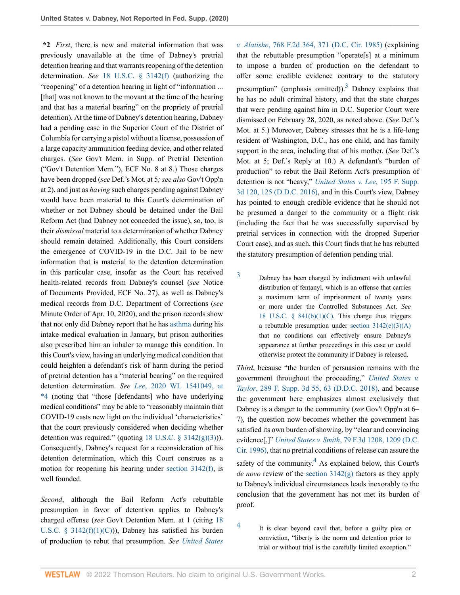**\*2** *First*, there is new and material information that was previously unavailable at the time of Dabney's pretrial detention hearing and that warrants reopening of the detention determination. *See* [18 U.S.C. § 3142\(f\)](http://www.westlaw.com/Link/Document/FullText?findType=L&pubNum=1000546&cite=18USCAS3142&originatingDoc=Ic3fa68607f3a11eab9598d2db129301e&refType=RB&originationContext=document&vr=3.0&rs=cblt1.0&transitionType=DocumentItem&contextData=(sc.Search)#co_pp_ae0d0000c5150) (authorizing the "reopening" of a detention hearing in light of "information ... [that] was not known to the movant at the time of the hearing and that has a material bearing" on the propriety of pretrial detention). At the time of Dabney's detention hearing, Dabney had a pending case in the Superior Court of the District of Columbia for carrying a pistol without a license, possession of a large capacity ammunition feeding device, and other related charges. (*See* Gov't Mem. in Supp. of Pretrial Detention ("Gov't Detention Mem."), ECF No. 8 at 8.) Those charges have been dropped (*see* Def.'s Mot. at 5*; see also* Gov't Opp'n at 2), and just as *having* such charges pending against Dabney would have been material to this Court's determination of whether or not Dabney should be detained under the Bail Reform Act (had Dabney not conceded the issue), so, too, is their *dismissal* material to a determination of whether Dabney should remain detained. Additionally, this Court considers the emergence of COVID-19 in the D.C. Jail to be new information that is material to the detention determination in this particular case, insofar as the Court has received health-related records from Dabney's counsel (*see* Notice of Documents Provided, ECF No. 27), as well as Dabney's medical records from D.C. Department of Corrections (*see* Minute Order of Apr. 10, 2020), and the prison records show that not only did Dabney report that he has [asthma](http://www.westlaw.com/Link/Document/FullText?entityType=disease&entityId=Iab17a50f475411db9765f9243f53508a&originationContext=document&transitionType=DocumentItem&contextData=(sc.Default)&vr=3.0&rs=cblt1.0) during his intake medical evaluation in January, but prison authorities also prescribed him an inhaler to manage this condition. In this Court's view, having an underlying medical condition that could heighten a defendant's risk of harm during the period of pretrial detention has a "material bearing" on the required detention determination. *See Lee*[, 2020 WL 1541049, at](http://www.westlaw.com/Link/Document/FullText?findType=Y&serNum=2050678948&pubNum=0000999&originatingDoc=Ic3fa68607f3a11eab9598d2db129301e&refType=RP&originationContext=document&vr=3.0&rs=cblt1.0&transitionType=DocumentItem&contextData=(sc.Search)) [\\*4](http://www.westlaw.com/Link/Document/FullText?findType=Y&serNum=2050678948&pubNum=0000999&originatingDoc=Ic3fa68607f3a11eab9598d2db129301e&refType=RP&originationContext=document&vr=3.0&rs=cblt1.0&transitionType=DocumentItem&contextData=(sc.Search)) (noting that "those [defendants] who have underlying medical conditions" may be able to "reasonably maintain that COVID-19 casts new light on the individual 'characteristics' that the court previously considered when deciding whether detention was required." (quoting 18 U.S.C.  $\S$  3142(g)(3))). Consequently, Dabney's request for a reconsideration of his detention determination, which this Court construes as a motion for reopening his hearing under [section 3142\(f\),](http://www.westlaw.com/Link/Document/FullText?findType=L&pubNum=1000546&cite=18USCAS3142&originatingDoc=Ic3fa68607f3a11eab9598d2db129301e&refType=RB&originationContext=document&vr=3.0&rs=cblt1.0&transitionType=DocumentItem&contextData=(sc.Search)#co_pp_ae0d0000c5150) is well founded.

*Second*, although the Bail Reform Act's rebuttable presumption in favor of detention applies to Dabney's charged offense (*see* Gov't Detention Mem. at 1 (citing [18](http://www.westlaw.com/Link/Document/FullText?findType=L&pubNum=1000546&cite=18USCAS3142&originatingDoc=Ic3fa68607f3a11eab9598d2db129301e&refType=RB&originationContext=document&vr=3.0&rs=cblt1.0&transitionType=DocumentItem&contextData=(sc.Search)#co_pp_2f740000c5ba5) U.S.C. §  $3142(f)(1)(C)$ ), Dabney has satisfied his burden of production to rebut that presumption. *See [United States](http://www.westlaw.com/Link/Document/FullText?findType=Y&serNum=1985137360&pubNum=0000350&originatingDoc=Ic3fa68607f3a11eab9598d2db129301e&refType=RP&fi=co_pp_sp_350_371&originationContext=document&vr=3.0&rs=cblt1.0&transitionType=DocumentItem&contextData=(sc.Search)#co_pp_sp_350_371)* <span id="page-1-1"></span>*v. Alatishe*[, 768 F.2d 364, 371 \(D.C. Cir. 1985\)](http://www.westlaw.com/Link/Document/FullText?findType=Y&serNum=1985137360&pubNum=0000350&originatingDoc=Ic3fa68607f3a11eab9598d2db129301e&refType=RP&fi=co_pp_sp_350_371&originationContext=document&vr=3.0&rs=cblt1.0&transitionType=DocumentItem&contextData=(sc.Search)#co_pp_sp_350_371) (explaining that the rebuttable presumption "operate[s] at a minimum to impose a burden of production on the defendant to offer some credible evidence contrary to the statutory presumption" (emphasis omitted)).<sup>[3](#page-1-0)</sup> Dabney explains that he has no adult criminal history, and that the state charges that were pending against him in D.C. Superior Court were dismissed on February 28, 2020, as noted above. (*See* Def.'s Mot. at 5.) Moreover, Dabney stresses that he is a life-long resident of Washington, D.C., has one child, and has family support in the area, including that of his mother. (*See* Def.'s Mot. at 5; Def.'s Reply at 10.) A defendant's "burden of production" to rebut the Bail Reform Act's presumption of detention is not "heavy," *[United States v. Lee](http://www.westlaw.com/Link/Document/FullText?findType=Y&serNum=2039341986&pubNum=0007903&originatingDoc=Ic3fa68607f3a11eab9598d2db129301e&refType=RP&fi=co_pp_sp_7903_125&originationContext=document&vr=3.0&rs=cblt1.0&transitionType=DocumentItem&contextData=(sc.Search)#co_pp_sp_7903_125)*, 195 F. Supp. [3d 120, 125 \(D.D.C. 2016\),](http://www.westlaw.com/Link/Document/FullText?findType=Y&serNum=2039341986&pubNum=0007903&originatingDoc=Ic3fa68607f3a11eab9598d2db129301e&refType=RP&fi=co_pp_sp_7903_125&originationContext=document&vr=3.0&rs=cblt1.0&transitionType=DocumentItem&contextData=(sc.Search)#co_pp_sp_7903_125) and in this Court's view, Dabney has pointed to enough credible evidence that he should not be presumed a danger to the community or a flight risk (including the fact that he was successfully supervised by pretrial services in connection with the dropped Superior Court case), and as such, this Court finds that he has rebutted the statutory presumption of detention pending trial.

<span id="page-1-0"></span>[3](#page-1-1) Dabney has been charged by indictment with unlawful distribution of fentanyl, which is an offense that carries a maximum term of imprisonment of twenty years or more under the Controlled Substances Act. *See* 18 U.S.C.  $\S$  841(b)(1)(C). This charge thus triggers a rebuttable presumption under section  $3142(e)(3)(A)$ that no conditions can effectively ensure Dabney's appearance at further proceedings in this case or could otherwise protect the community if Dabney is released.

*Third*, because "the burden of persuasion remains with the government throughout the proceeding," *[United States v.](http://www.westlaw.com/Link/Document/FullText?findType=Y&serNum=2043525801&pubNum=0007903&originatingDoc=Ic3fa68607f3a11eab9598d2db129301e&refType=RP&fi=co_pp_sp_7903_63&originationContext=document&vr=3.0&rs=cblt1.0&transitionType=DocumentItem&contextData=(sc.Search)#co_pp_sp_7903_63) Taylor*[, 289 F. Supp. 3d 55, 63 \(D.D.C. 2018\),](http://www.westlaw.com/Link/Document/FullText?findType=Y&serNum=2043525801&pubNum=0007903&originatingDoc=Ic3fa68607f3a11eab9598d2db129301e&refType=RP&fi=co_pp_sp_7903_63&originationContext=document&vr=3.0&rs=cblt1.0&transitionType=DocumentItem&contextData=(sc.Search)#co_pp_sp_7903_63) and because the government here emphasizes almost exclusively that Dabney is a danger to the community (*see* Gov't Opp'n at 6– 7), the question now becomes whether the government has satisfied its own burden of showing, by "clear and convincing evidence[,]" *United States v. Smith*[, 79 F.3d 1208, 1209 \(D.C.](http://www.westlaw.com/Link/Document/FullText?findType=Y&serNum=1996075828&pubNum=0000506&originatingDoc=Ic3fa68607f3a11eab9598d2db129301e&refType=RP&fi=co_pp_sp_506_1209&originationContext=document&vr=3.0&rs=cblt1.0&transitionType=DocumentItem&contextData=(sc.Search)#co_pp_sp_506_1209) [Cir. 1996\)](http://www.westlaw.com/Link/Document/FullText?findType=Y&serNum=1996075828&pubNum=0000506&originatingDoc=Ic3fa68607f3a11eab9598d2db129301e&refType=RP&fi=co_pp_sp_506_1209&originationContext=document&vr=3.0&rs=cblt1.0&transitionType=DocumentItem&contextData=(sc.Search)#co_pp_sp_506_1209), that no pretrial conditions of release can assure the safety of the community. $<sup>4</sup>$  $<sup>4</sup>$  $<sup>4</sup>$  As explained below, this Court's</sup> *de novo* review of the [section 3142\(g\)](http://www.westlaw.com/Link/Document/FullText?findType=L&pubNum=1000546&cite=18USCAS3142&originatingDoc=Ic3fa68607f3a11eab9598d2db129301e&refType=RB&originationContext=document&vr=3.0&rs=cblt1.0&transitionType=DocumentItem&contextData=(sc.Search)#co_pp_16f4000091d86) factors as they apply to Dabney's individual circumstances leads inexorably to the conclusion that the government has not met its burden of proof.

<span id="page-1-3"></span><span id="page-1-2"></span>[4](#page-1-3) It is clear beyond cavil that, before a guilty plea or conviction, "liberty is the norm and detention prior to trial or without trial is the carefully limited exception."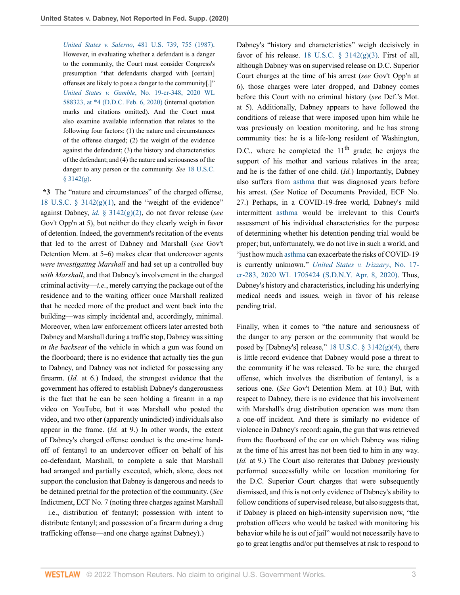*United States v. Salerno*[, 481 U.S. 739, 755 \(1987\).](http://www.westlaw.com/Link/Document/FullText?findType=Y&serNum=1987064904&pubNum=0000780&originatingDoc=Ic3fa68607f3a11eab9598d2db129301e&refType=RP&fi=co_pp_sp_780_755&originationContext=document&vr=3.0&rs=cblt1.0&transitionType=DocumentItem&contextData=(sc.Search)#co_pp_sp_780_755) However, in evaluating whether a defendant is a danger to the community, the Court must consider Congress's presumption "that defendants charged with [certain] offenses are likely to pose a danger to the community[.]" *United States v. Gamble*[, No. 19-cr-348, 2020 WL](http://www.westlaw.com/Link/Document/FullText?findType=Y&serNum=2050317030&pubNum=0000999&originatingDoc=Ic3fa68607f3a11eab9598d2db129301e&refType=RP&originationContext=document&vr=3.0&rs=cblt1.0&transitionType=DocumentItem&contextData=(sc.Search)) [588323, at \\*4 \(D.D.C. Feb. 6, 2020\)](http://www.westlaw.com/Link/Document/FullText?findType=Y&serNum=2050317030&pubNum=0000999&originatingDoc=Ic3fa68607f3a11eab9598d2db129301e&refType=RP&originationContext=document&vr=3.0&rs=cblt1.0&transitionType=DocumentItem&contextData=(sc.Search)) (internal quotation marks and citations omitted). And the Court must also examine available information that relates to the following four factors: (1) the nature and circumstances of the offense charged; (2) the weight of the evidence against the defendant; (3) the history and characteristics of the defendant; and (4) the nature and seriousness of the danger to any person or the community. *See* [18 U.S.C.](http://www.westlaw.com/Link/Document/FullText?findType=L&pubNum=1000546&cite=18USCAS3142&originatingDoc=Ic3fa68607f3a11eab9598d2db129301e&refType=RB&originationContext=document&vr=3.0&rs=cblt1.0&transitionType=DocumentItem&contextData=(sc.Search)#co_pp_16f4000091d86)  $§$  3142(g).

**\*3** The "nature and circumstances" of the charged offense, 18 U.S.C.  $\S$  3142 $(g)(1)$ , and the "weight of the evidence" against Dabney, *id.* [§ 3142\(g\)\(2\)](http://www.westlaw.com/Link/Document/FullText?findType=L&pubNum=1000546&cite=18USCAS3142&originatingDoc=Ic3fa68607f3a11eab9598d2db129301e&refType=RB&originationContext=document&vr=3.0&rs=cblt1.0&transitionType=DocumentItem&contextData=(sc.Search)#co_pp_7952000083371), do not favor release (*see* Gov't Opp'n at 5), but neither do they clearly weigh in favor of detention. Indeed, the government's recitation of the events that led to the arrest of Dabney and Marshall (*see* Gov't Detention Mem. at 5–6) makes clear that undercover agents *were investigating Marshall* and had set up a controlled buy *with Marshall*, and that Dabney's involvement in the charged criminal activity—*i.e.*, merely carrying the package out of the residence and to the waiting officer once Marshall realized that he needed more of the product and went back into the building—was simply incidental and, accordingly, minimal. Moreover, when law enforcement officers later arrested both Dabney and Marshall during a traffic stop, Dabney was sitting *in the backseat* of the vehicle in which a gun was found on the floorboard; there is no evidence that actually ties the gun to Dabney, and Dabney was not indicted for possessing any firearm. (*Id.* at 6.) Indeed, the strongest evidence that the government has offered to establish Dabney's dangerousness is the fact that he can be seen holding a firearm in a rap video on YouTube, but it was Marshall who posted the video, and two other (apparently unindicted) individuals also appear in the frame. (*Id.* at 9.) In other words, the extent of Dabney's charged offense conduct is the one-time handoff of fentanyl to an undercover officer on behalf of his co-defendant, Marshall, to complete a sale that Marshall had arranged and partially executed, which, alone, does not support the conclusion that Dabney is dangerous and needs to be detained pretrial for the protection of the community. (*See* Indictment, ECF No. 7 (noting three charges against Marshall —i.e., distribution of fentanyl; possession with intent to distribute fentanyl; and possession of a firearm during a drug trafficking offense—and one charge against Dabney).)

favor of his release. 18 U.S.C.  $\S$  3142(g)(3). First of all, although Dabney was on supervised release on D.C. Superior Court charges at the time of his arrest (*see* Gov't Opp'n at 6), those charges were later dropped, and Dabney comes before this Court with no criminal history (*see* Def.'s Mot. at 5). Additionally, Dabney appears to have followed the conditions of release that were imposed upon him while he was previously on location monitoring, and he has strong community ties: he is a life-long resident of Washington, D.C., where he completed the  $11<sup>th</sup>$  grade; he enjoys the support of his mother and various relatives in the area; and he is the father of one child. (*Id.*) Importantly, Dabney also suffers from [asthma](http://www.westlaw.com/Link/Document/FullText?entityType=disease&entityId=Iab17a50f475411db9765f9243f53508a&originationContext=document&transitionType=DocumentItem&contextData=(sc.Default)&vr=3.0&rs=cblt1.0) that was diagnosed years before his arrest. (*See* Notice of Documents Provided, ECF No. 27.) Perhaps, in a COVID-19-free world, Dabney's mild intermittent [asthma](http://www.westlaw.com/Link/Document/FullText?entityType=disease&entityId=Iab17a50f475411db9765f9243f53508a&originationContext=document&transitionType=DocumentItem&contextData=(sc.Default)&vr=3.0&rs=cblt1.0) would be irrelevant to this Court's assessment of his individual characteristics for the purpose of determining whether his detention pending trial would be proper; but, unfortunately, we do not live in such a world, and "just how much [asthma](http://www.westlaw.com/Link/Document/FullText?entityType=disease&entityId=Iab17a50f475411db9765f9243f53508a&originationContext=document&transitionType=DocumentItem&contextData=(sc.Default)&vr=3.0&rs=cblt1.0) can exacerbate the risks of COVID-19 is currently unknown." *[United States v. Irizzary](http://www.westlaw.com/Link/Document/FullText?findType=Y&serNum=2050741902&pubNum=0000999&originatingDoc=Ic3fa68607f3a11eab9598d2db129301e&refType=RP&originationContext=document&vr=3.0&rs=cblt1.0&transitionType=DocumentItem&contextData=(sc.Search))*, No. 17 [cr-283, 2020 WL 1705424 \(S.D.N.Y. Apr. 8, 2020\)](http://www.westlaw.com/Link/Document/FullText?findType=Y&serNum=2050741902&pubNum=0000999&originatingDoc=Ic3fa68607f3a11eab9598d2db129301e&refType=RP&originationContext=document&vr=3.0&rs=cblt1.0&transitionType=DocumentItem&contextData=(sc.Search)). Thus, Dabney's history and characteristics, including his underlying medical needs and issues, weigh in favor of his release pending trial.

Dabney's "history and characteristics" weigh decisively in

Finally, when it comes to "the nature and seriousness of the danger to any person or the community that would be posed by [Dabney's] release,"  $18$  U.S.C.  $\S$  3142(g)(4), there is little record evidence that Dabney would pose a threat to the community if he was released. To be sure, the charged offense, which involves the distribution of fentanyl, is a serious one. (*See* Gov't Detention Mem. at 10.) But, with respect to Dabney, there is no evidence that his involvement with Marshall's drug distribution operation was more than a one-off incident. And there is similarly no evidence of violence in Dabney's record: again, the gun that was retrieved from the floorboard of the car on which Dabney was riding at the time of his arrest has not been tied to him in any way. (*Id.* at 9.) The Court also reiterates that Dabney previously performed successfully while on location monitoring for the D.C. Superior Court charges that were subsequently dismissed, and this is not only evidence of Dabney's ability to follow conditions of supervised release, but also suggests that, if Dabney is placed on high-intensity supervision now, "the probation officers who would be tasked with monitoring his behavior while he is out of jail" would not necessarily have to go to great lengths and/or put themselves at risk to respond to